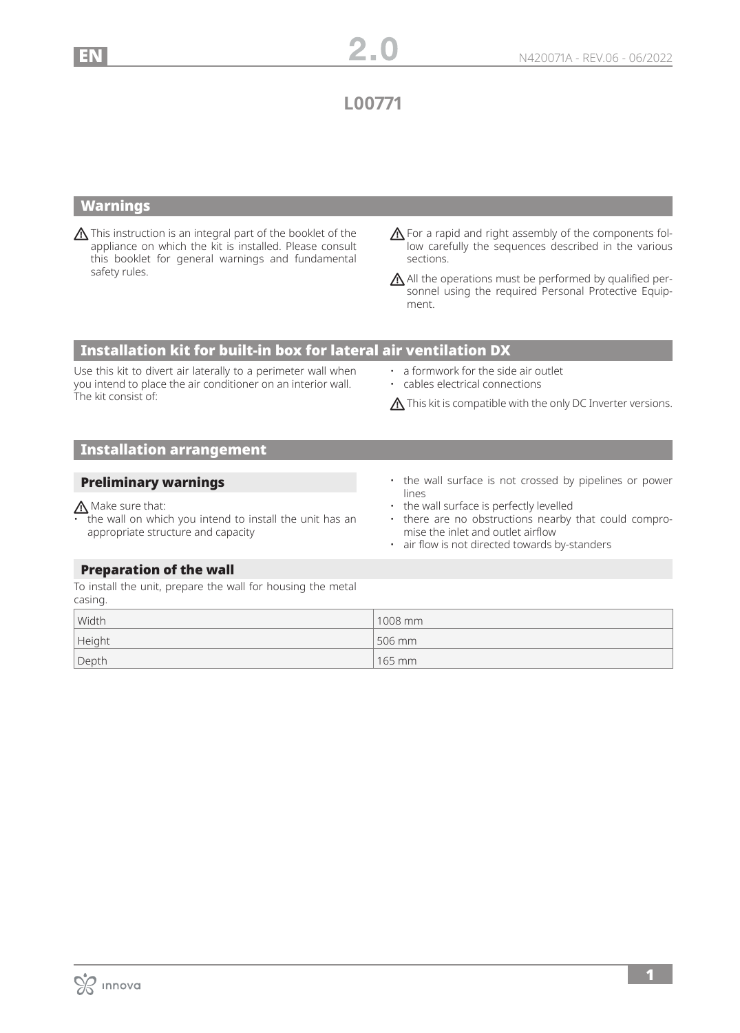**L00771**

## Warnings

This instruction is an integral part of the booklet of the appliance on which the kit is installed. Please consult this booklet for general warnings and fundamental safety rules.

A For a rapid and right assembly of the components follow carefully the sequences described in the various sections.

 $\bigwedge$  All the operations must be performed by qualified personnel using the required Personal Protective Equipment.

## Installation kit for built-in box for lateral air ventilation DX

Use this kit to divert air laterally to a perimeter wall when you intend to place the air conditioner on an interior wall. The kit consist of:

- a formwork for the side air outlet
- cables electrical connections

 $\bigwedge$  This kit is compatible with the only DC Inverter versions.

# Installation arrangement

### Preliminary warnings

## Make sure that:

- the wall on which you intend to install the unit has an appropriate structure and capacity
- the wall surface is not crossed by pipelines or power lines
- the wall surface is perfectly levelled
- there are no obstructions nearby that could compromise the inlet and outlet airflow
- air flow is not directed towards by-standers

## Preparation of the wall

To install the unit, prepare the wall for housing the metal casing.

| Width  | $1008$ mm |
|--------|-----------|
| Height | 506 mm    |
| Depth  | 165 mm    |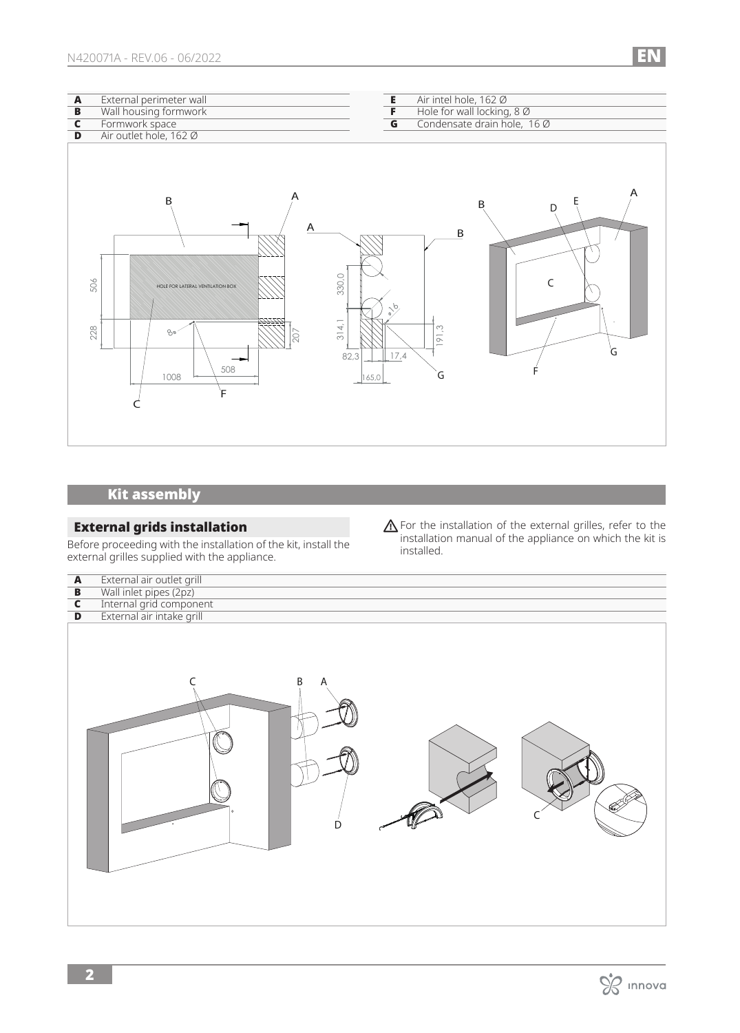| $\boldsymbol{\mathsf{A}}$ | External perimeter wall                                                                                  | $\overline{E}$<br>Air intel hole, 162 Ø                                                |
|---------------------------|----------------------------------------------------------------------------------------------------------|----------------------------------------------------------------------------------------|
| $\overline{B}$            | Wall housing formwork                                                                                    | $\overline{F}$<br>Hole for wall locking, 8 Ø                                           |
| $\mathsf{C}$              | Formwork space                                                                                           | $\overline{\mathbf{G}}$<br>Condensate drain hole, 16 Ø                                 |
| D                         | Air outlet hole, 162 Ø                                                                                   |                                                                                        |
|                           | Α<br>B<br>Α<br>506<br>HOLE FOR LATERAL VENTILATION BOX<br>ZZZZZZ<br>228<br>80<br>207<br>508<br>1008<br>F | Α<br>B<br>D<br>${\sf B}$<br>330,0<br>314,1<br>191.3<br>Ġ<br>82,3<br>17,4<br>G<br>165,0 |

# Kit assembly

### External grids installation

Before proceeding with the installation of the kit, install the external grilles supplied with the appliance.

 $\bigwedge$  For the installation of the external grilles, refer to the installation manual of the appliance on which the kit is installed.

| $\blacktriangle$<br>$\overline{\mathbf{B}}$<br>$\overline{\mathbf{c}}$ | External air outlet grill<br>Wall inlet pipes (2pz)<br>Internal grid component<br>External air intake grill |
|------------------------------------------------------------------------|-------------------------------------------------------------------------------------------------------------|
| $\overline{D}$                                                         | B<br>A<br>D                                                                                                 |

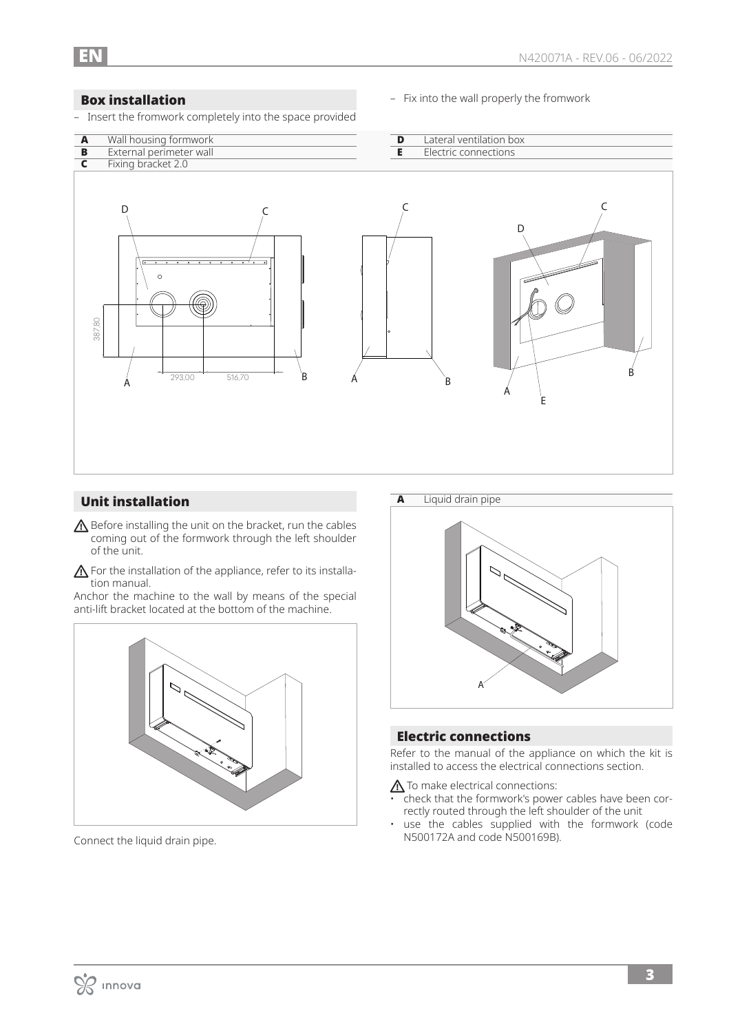### Box installation

- Insert the fromwork completely into the space provided
- Fix into the wall properly the fromwork



## Unit installation

- $\triangle$  Before installing the unit on the bracket, run the cables coming out of the formwork through the left shoulder of the unit.
- **A** For the installation of the appliance, refer to its installation manual.

Anchor the machine to the wall by means of the special anti-lift bracket located at the bottom of the machine.



Connect the liquid drain pipe.



### Electric connections

Refer to the manual of the appliance on which the kit is installed to access the electrical connections section.

 $\triangle$  To make electrical connections:

- check that the formwork's power cables have been correctly routed through the left shoulder of the unit
- use the cables supplied with the formwork (code N500172A and code N500169B).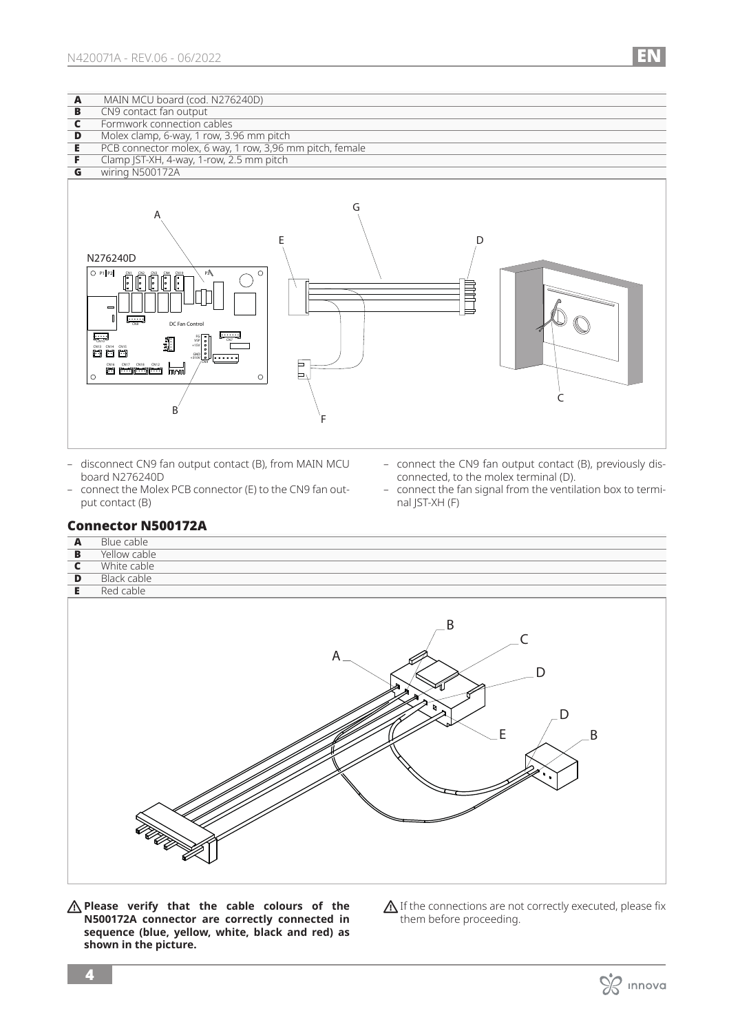| A | MAIN MCU board (cod. N276240D)                           |
|---|----------------------------------------------------------|
| B | CN9 contact fan output                                   |
|   | Formwork connection cables                               |
| D | Molex clamp, 6-way, 1 row, 3.96 mm pitch                 |
|   | PCB connector molex, 6 way, 1 row, 3,96 mm pitch, female |
|   | Clamp JST-XH, 4-way, 1-row, 2.5 mm pitch                 |
| G | wiring N500172A                                          |
|   |                                                          |
|   |                                                          |
|   |                                                          |



- disconnect CN9 fan output contact (B), from MAIN MCU board N276240D
- connect the Molex PCB connector (E) to the CN9 fan output contact (B)
- connect the CN9 fan output contact (B), previously disconnected, to the molex terminal (D).
- connect the fan signal from the ventilation box to terminal JST-XH (F)

## Connector N500172A

| $\boldsymbol{\mathsf{A}}$ | Blue cable                                       |
|---------------------------|--------------------------------------------------|
| $\overline{B}$            | Yellow cable                                     |
| $\overline{\mathbf{c}}$   | White cable                                      |
| $\overline{\mathbf{D}}$   | <b>Black cable</b>                               |
| E                         | Red cable                                        |
|                           | B<br>C<br>$A-$<br>D<br>₹.<br>E<br>$\overline{B}$ |

**Please verify that the cable colours of the N500172A connector are correctly connected in sequence (blue, yellow, white, black and red) as shown in the picture.**

 $\bigwedge$  If the connections are not correctly executed, please fix them before proceeding.